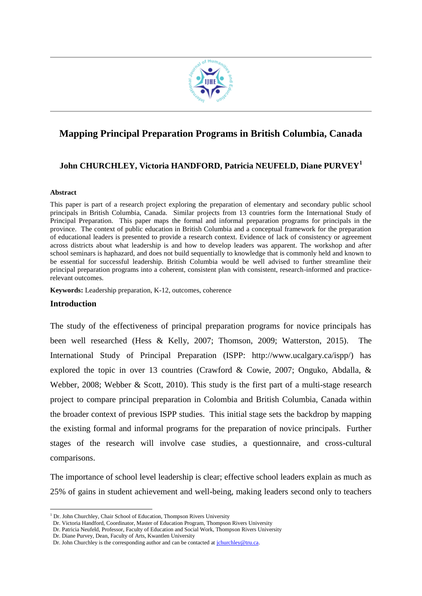

## **Mapping Principal Preparation Programs in British Columbia, Canada**

#### **John CHURCHLEY, Victoria HANDFORD, Patricia NEUFELD, Diane PURVEY<sup>1</sup>**

#### **Abstract**

This paper is part of a research project exploring the preparation of elementary and secondary public school principals in British Columbia, Canada. Similar projects from 13 countries form the International Study of Principal Preparation. This paper maps the formal and informal preparation programs for principals in the province. The context of public education in British Columbia and a conceptual framework for the preparation of educational leaders is presented to provide a research context. Evidence of lack of consistency or agreement across districts about what leadership is and how to develop leaders was apparent. The workshop and after school seminars is haphazard, and does not build sequentially to knowledge that is commonly held and known to be essential for successful leadership. British Columbia would be well advised to further streamline their principal preparation programs into a coherent, consistent plan with consistent, research-informed and practicerelevant outcomes.

**Keywords:** Leadership preparation, K-12, outcomes, coherence

#### **Introduction**

1

The study of the effectiveness of principal preparation programs for novice principals has been well researched (Hess & Kelly, 2007; Thomson, 2009; Watterston, 2015). The International Study of Principal Preparation (ISPP: http://www.ucalgary.ca/ispp/) has explored the topic in over 13 countries (Crawford & Cowie, 2007; Onguko, Abdalla, & Webber, 2008; Webber & Scott, 2010). This study is the first part of a multi-stage research project to compare principal preparation in Colombia and British Columbia, Canada within the broader context of previous ISPP studies. This initial stage sets the backdrop by mapping the existing formal and informal programs for the preparation of novice principals. Further stages of the research will involve case studies, a questionnaire, and cross-cultural comparisons.

The importance of school level leadership is clear; effective school leaders explain as much as 25% of gains in student achievement and well-being, making leaders second only to teachers

<sup>&</sup>lt;sup>1</sup> Dr. John Churchley, Chair School of Education, Thompson Rivers University

Dr. Victoria Handford, Coordinator, Master of Education Program, Thompson Rivers University

Dr. Patricia Neufeld, Professor, Faculty of Education and Social Work, Thompson Rivers University

Dr. Diane Purvey, Dean, Faculty of Arts, Kwantlen University

Dr. John Churchley is the corresponding author and can be contacted at *jchurchley@tru.ca.*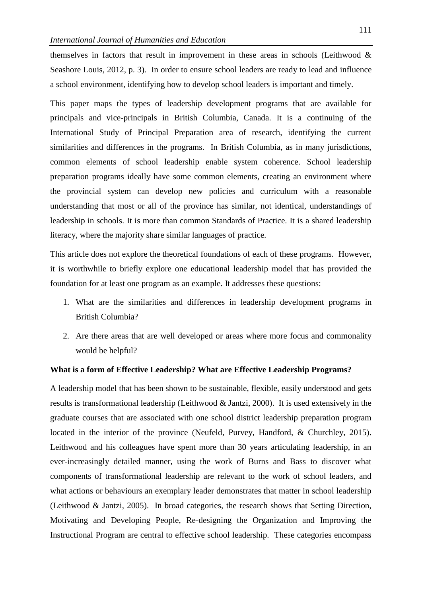themselves in factors that result in improvement in these areas in schools (Leithwood & Seashore Louis, 2012, p. 3). In order to ensure school leaders are ready to lead and influence a school environment, identifying how to develop school leaders is important and timely.

This paper maps the types of leadership development programs that are available for principals and vice-principals in British Columbia, Canada. It is a continuing of the International Study of Principal Preparation area of research, identifying the current similarities and differences in the programs. In British Columbia, as in many jurisdictions, common elements of school leadership enable system coherence. School leadership preparation programs ideally have some common elements, creating an environment where the provincial system can develop new policies and curriculum with a reasonable understanding that most or all of the province has similar, not identical, understandings of leadership in schools. It is more than common Standards of Practice. It is a shared leadership literacy, where the majority share similar languages of practice.

This article does not explore the theoretical foundations of each of these programs. However, it is worthwhile to briefly explore one educational leadership model that has provided the foundation for at least one program as an example. It addresses these questions:

- 1. What are the similarities and differences in leadership development programs in British Columbia?
- 2. Are there areas that are well developed or areas where more focus and commonality would be helpful?

#### **What is a form of Effective Leadership? What are Effective Leadership Programs?**

A leadership model that has been shown to be sustainable, flexible, easily understood and gets results is transformational leadership (Leithwood & Jantzi, 2000). It is used extensively in the graduate courses that are associated with one school district leadership preparation program located in the interior of the province (Neufeld, Purvey, Handford, & Churchley, 2015). Leithwood and his colleagues have spent more than 30 years articulating leadership, in an ever-increasingly detailed manner, using the work of Burns and Bass to discover what components of transformational leadership are relevant to the work of school leaders, and what actions or behaviours an exemplary leader demonstrates that matter in school leadership (Leithwood & Jantzi, 2005). In broad categories, the research shows that Setting Direction, Motivating and Developing People, Re-designing the Organization and Improving the Instructional Program are central to effective school leadership. These categories encompass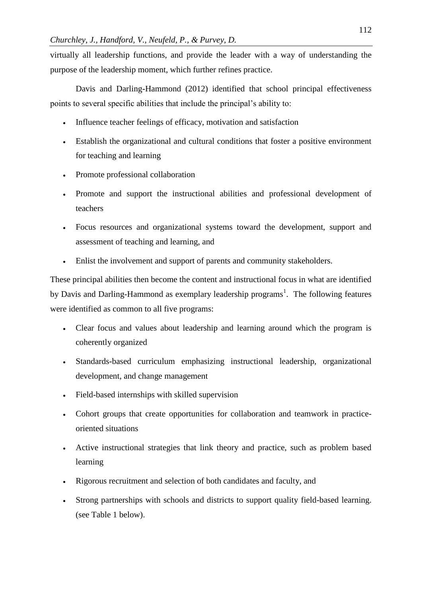virtually all leadership functions, and provide the leader with a way of understanding the purpose of the leadership moment, which further refines practice.

Davis and Darling-Hammond (2012) identified that school principal effectiveness points to several specific abilities that include the principal's ability to:

- Influence teacher feelings of efficacy, motivation and satisfaction
- Establish the organizational and cultural conditions that foster a positive environment for teaching and learning
- Promote professional collaboration
- Promote and support the instructional abilities and professional development of teachers
- Focus resources and organizational systems toward the development, support and assessment of teaching and learning, and
- Enlist the involvement and support of parents and community stakeholders.

These principal abilities then become the content and instructional focus in what are identified by Davis and Darling-Hammond as exemplary leadership programs<sup>1</sup>. The following features were identified as common to all five programs:

- Clear focus and values about leadership and learning around which the program is coherently organized
- Standards-based curriculum emphasizing instructional leadership, organizational development, and change management
- Field-based internships with skilled supervision
- Cohort groups that create opportunities for collaboration and teamwork in practiceoriented situations
- Active instructional strategies that link theory and practice, such as problem based learning
- Rigorous recruitment and selection of both candidates and faculty, and
- Strong partnerships with schools and districts to support quality field-based learning. (see Table 1 below).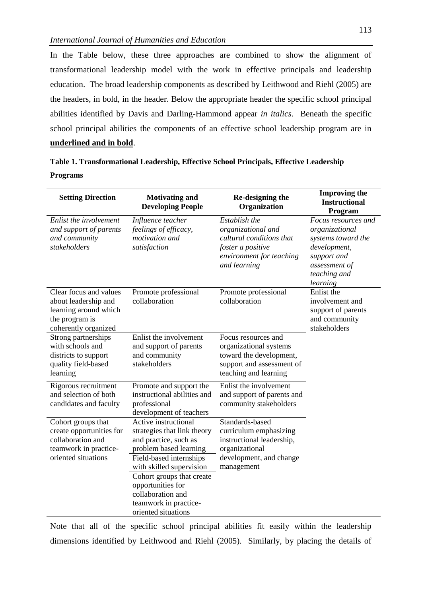In the Table below, these three approaches are combined to show the alignment of transformational leadership model with the work in effective principals and leadership education. The broad leadership components as described by Leithwood and Riehl (2005) are the headers, in bold, in the header. Below the appropriate header the specific school principal abilities identified by Davis and Darling-Hammond appear *in italics*. Beneath the specific school principal abilities the components of an effective school leadership program are in **underlined and in bold**.

| Table 1. Transformational Leadership, Effective School Principals, Effective Leadership |  |
|-----------------------------------------------------------------------------------------|--|
| <b>Programs</b>                                                                         |  |

| <b>Setting Direction</b>                                                                                            | <b>Motivating and</b><br><b>Developing People</b>                                                                                                                                                                                                                                    | Re-designing the<br>Organization                                                                                                  | <b>Improving the</b><br><b>Instructional</b><br>Program                                                                                 |
|---------------------------------------------------------------------------------------------------------------------|--------------------------------------------------------------------------------------------------------------------------------------------------------------------------------------------------------------------------------------------------------------------------------------|-----------------------------------------------------------------------------------------------------------------------------------|-----------------------------------------------------------------------------------------------------------------------------------------|
| Enlist the involvement<br>and support of parents<br>and community<br>stakeholders                                   | Influence teacher<br>feelings of efficacy,<br>motivation and<br>satisfaction                                                                                                                                                                                                         | Establish the<br>organizational and<br>cultural conditions that<br>foster a positive<br>environment for teaching<br>and learning  | Focus resources and<br>organizational<br>systems toward the<br>development,<br>support and<br>assessment of<br>teaching and<br>learning |
| Clear focus and values<br>about leadership and<br>learning around which<br>the program is<br>coherently organized   | Promote professional<br>collaboration                                                                                                                                                                                                                                                | Promote professional<br>collaboration                                                                                             | Enlist the<br>involvement and<br>support of parents<br>and community<br>stakeholders                                                    |
| Strong partnerships<br>with schools and<br>districts to support<br>quality field-based<br>learning                  | Enlist the involvement<br>and support of parents<br>and community<br>stakeholders                                                                                                                                                                                                    | Focus resources and<br>organizational systems<br>toward the development,<br>support and assessment of<br>teaching and learning    |                                                                                                                                         |
| Rigorous recruitment<br>and selection of both<br>candidates and faculty                                             | Promote and support the<br>instructional abilities and<br>professional<br>development of teachers                                                                                                                                                                                    | Enlist the involvement<br>and support of parents and<br>community stakeholders                                                    |                                                                                                                                         |
| Cohort groups that<br>create opportunities for<br>collaboration and<br>teamwork in practice-<br>oriented situations | Active instructional<br>strategies that link theory<br>and practice, such as<br>problem based learning<br>Field-based internships<br>with skilled supervision<br>Cohort groups that create<br>opportunities for<br>collaboration and<br>teamwork in practice-<br>oriented situations | Standards-based<br>curriculum emphasizing<br>instructional leadership,<br>organizational<br>development, and change<br>management |                                                                                                                                         |

Note that all of the specific school principal abilities fit easily within the leadership dimensions identified by Leithwood and Riehl (2005). Similarly, by placing the details of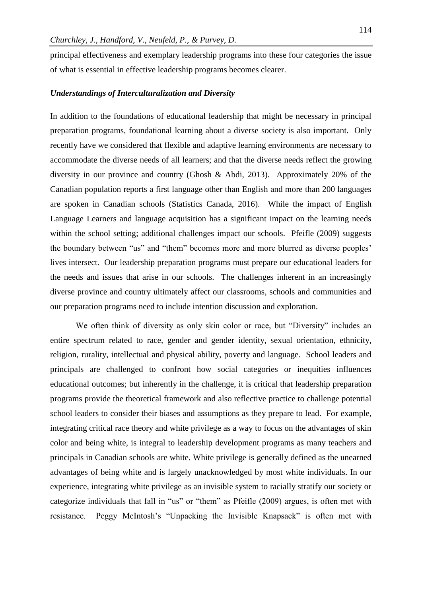principal effectiveness and exemplary leadership programs into these four categories the issue of what is essential in effective leadership programs becomes clearer.

#### *Understandings of Interculturalization and Diversity*

In addition to the foundations of educational leadership that might be necessary in principal preparation programs, foundational learning about a diverse society is also important. Only recently have we considered that flexible and adaptive learning environments are necessary to accommodate the diverse needs of all learners; and that the diverse needs reflect the growing diversity in our province and country (Ghosh & Abdi, 2013). Approximately 20% of the Canadian population reports a first language other than English and more than 200 languages are spoken in Canadian schools (Statistics Canada, 2016). While the impact of English Language Learners and language acquisition has a significant impact on the learning needs within the school setting; additional challenges impact our schools. Pfeifle (2009) suggests the boundary between "us" and "them" becomes more and more blurred as diverse peoples' lives intersect. Our leadership preparation programs must prepare our educational leaders for the needs and issues that arise in our schools. The challenges inherent in an increasingly diverse province and country ultimately affect our classrooms, schools and communities and our preparation programs need to include intention discussion and exploration.

We often think of diversity as only skin color or race, but "Diversity" includes an entire spectrum related to race, gender and gender identity, sexual orientation, ethnicity, religion, rurality, intellectual and physical ability, poverty and language. School leaders and principals are challenged to confront how social categories or inequities influences educational outcomes; but inherently in the challenge, it is critical that leadership preparation programs provide the theoretical framework and also reflective practice to challenge potential school leaders to consider their biases and assumptions as they prepare to lead. For example, integrating critical race theory and white privilege as a way to focus on the advantages of skin color and being white, is integral to leadership development programs as many teachers and principals in Canadian schools are white. White privilege is generally defined as the unearned advantages of being white and is largely unacknowledged by most white individuals. In our experience, integrating white privilege as an invisible system to racially stratify our society or categorize individuals that fall in "us" or "them" as Pfeifle (2009) argues, is often met with resistance. Peggy McIntosh's "Unpacking the Invisible Knapsack" is often met with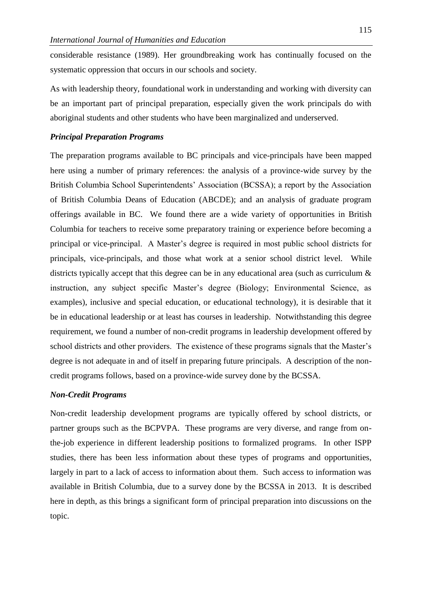considerable resistance (1989). Her groundbreaking work has continually focused on the systematic oppression that occurs in our schools and society.

As with leadership theory, foundational work in understanding and working with diversity can be an important part of principal preparation, especially given the work principals do with aboriginal students and other students who have been marginalized and underserved.

#### *Principal Preparation Programs*

The preparation programs available to BC principals and vice-principals have been mapped here using a number of primary references: the analysis of a province-wide survey by the British Columbia School Superintendents' Association (BCSSA); a report by the Association of British Columbia Deans of Education (ABCDE); and an analysis of graduate program offerings available in BC. We found there are a wide variety of opportunities in British Columbia for teachers to receive some preparatory training or experience before becoming a principal or vice-principal. A Master's degree is required in most public school districts for principals, vice-principals, and those what work at a senior school district level. While districts typically accept that this degree can be in any educational area (such as curriculum  $\&$ instruction, any subject specific Master's degree (Biology; Environmental Science, as examples), inclusive and special education, or educational technology), it is desirable that it be in educational leadership or at least has courses in leadership. Notwithstanding this degree requirement, we found a number of non-credit programs in leadership development offered by school districts and other providers. The existence of these programs signals that the Master's degree is not adequate in and of itself in preparing future principals. A description of the noncredit programs follows, based on a province-wide survey done by the BCSSA.

#### *Non-Credit Programs*

Non-credit leadership development programs are typically offered by school districts, or partner groups such as the BCPVPA. These programs are very diverse, and range from onthe-job experience in different leadership positions to formalized programs. In other ISPP studies, there has been less information about these types of programs and opportunities, largely in part to a lack of access to information about them. Such access to information was available in British Columbia, due to a survey done by the BCSSA in 2013. It is described here in depth, as this brings a significant form of principal preparation into discussions on the topic.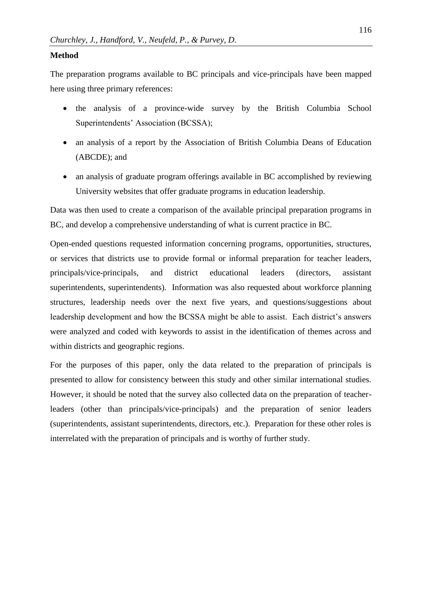#### **Method**

The preparation programs available to BC principals and vice-principals have been mapped here using three primary references:

- the analysis of a province-wide survey by the British Columbia School Superintendents' Association (BCSSA);
- an analysis of a report by the Association of British Columbia Deans of Education (ABCDE); and
- an analysis of graduate program offerings available in BC accomplished by reviewing University websites that offer graduate programs in education leadership.

Data was then used to create a comparison of the available principal preparation programs in BC, and develop a comprehensive understanding of what is current practice in BC.

Open-ended questions requested information concerning programs, opportunities, structures, or services that districts use to provide formal or informal preparation for teacher leaders, principals/vice-principals, and district educational leaders (directors, assistant superintendents, superintendents). Information was also requested about workforce planning structures, leadership needs over the next five years, and questions/suggestions about leadership development and how the BCSSA might be able to assist. Each district's answers were analyzed and coded with keywords to assist in the identification of themes across and within districts and geographic regions.

For the purposes of this paper, only the data related to the preparation of principals is presented to allow for consistency between this study and other similar international studies. However, it should be noted that the survey also collected data on the preparation of teacherleaders (other than principals/vice-principals) and the preparation of senior leaders (superintendents, assistant superintendents, directors, etc.). Preparation for these other roles is interrelated with the preparation of principals and is worthy of further study.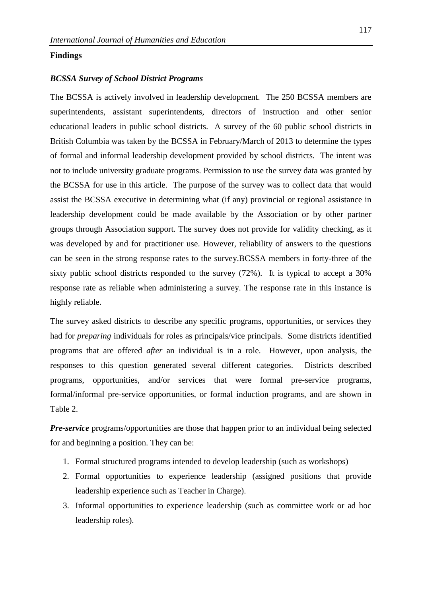#### **Findings**

#### *BCSSA Survey of School District Programs*

The BCSSA is actively involved in leadership development. The 250 BCSSA members are superintendents, assistant superintendents, directors of instruction and other senior educational leaders in public school districts. A survey of the 60 public school districts in British Columbia was taken by the BCSSA in February/March of 2013 to determine the types of formal and informal leadership development provided by school districts. The intent was not to include university graduate programs. Permission to use the survey data was granted by the BCSSA for use in this article. The purpose of the survey was to collect data that would assist the BCSSA executive in determining what (if any) provincial or regional assistance in leadership development could be made available by the Association or by other partner groups through Association support. The survey does not provide for validity checking, as it was developed by and for practitioner use. However, reliability of answers to the questions can be seen in the strong response rates to the survey.BCSSA members in forty-three of the sixty public school districts responded to the survey (72%). It is typical to accept a 30% response rate as reliable when administering a survey. The response rate in this instance is highly reliable.

The survey asked districts to describe any specific programs, opportunities, or services they had for *preparing* individuals for roles as principals/vice principals. Some districts identified programs that are offered *after* an individual is in a role. However, upon analysis, the responses to this question generated several different categories. Districts described programs, opportunities, and/or services that were formal pre-service programs, formal/informal pre-service opportunities, or formal induction programs, and are shown in Table 2.

*Pre-service* programs/opportunities are those that happen prior to an individual being selected for and beginning a position. They can be:

- 1. Formal structured programs intended to develop leadership (such as workshops)
- 2. Formal opportunities to experience leadership (assigned positions that provide leadership experience such as Teacher in Charge).
- 3. Informal opportunities to experience leadership (such as committee work or ad hoc leadership roles).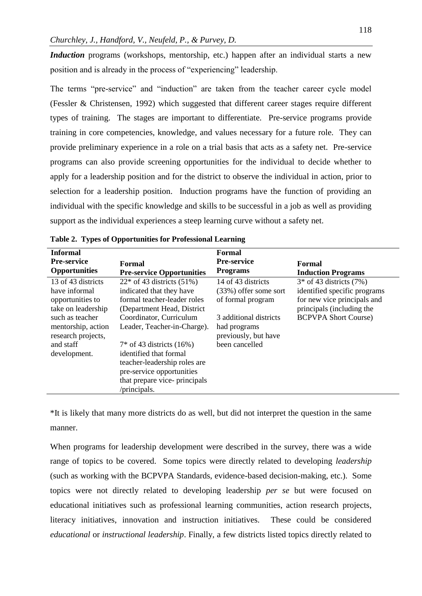*Induction* programs (workshops, mentorship, etc.) happen after an individual starts a new position and is already in the process of "experiencing" leadership.

The terms "pre-service" and "induction" are taken from the teacher career cycle model (Fessler & Christensen, 1992) which suggested that different career stages require different types of training. The stages are important to differentiate. Pre-service programs provide training in core competencies, knowledge, and values necessary for a future role. They can provide preliminary experience in a role on a trial basis that acts as a safety net. Pre-service programs can also provide screening opportunities for the individual to decide whether to apply for a leadership position and for the district to observe the individual in action, prior to selection for a leadership position. Induction programs have the function of providing an individual with the specific knowledge and skills to be successful in a job as well as providing support as the individual experiences a steep learning curve without a safety net.

| <b>Informal</b>                                                                                                                                                           |                                                                                                                                                                                                                                                                                                                                                      | Formal                                                                                                                                                 |                                                                                                                                                        |
|---------------------------------------------------------------------------------------------------------------------------------------------------------------------------|------------------------------------------------------------------------------------------------------------------------------------------------------------------------------------------------------------------------------------------------------------------------------------------------------------------------------------------------------|--------------------------------------------------------------------------------------------------------------------------------------------------------|--------------------------------------------------------------------------------------------------------------------------------------------------------|
| <b>Pre-service</b><br><b>Opportunities</b>                                                                                                                                | Formal<br><b>Pre-service Opportunities</b>                                                                                                                                                                                                                                                                                                           | <b>Pre-service</b><br><b>Programs</b>                                                                                                                  | Formal<br><b>Induction Programs</b>                                                                                                                    |
| 13 of 43 districts<br>have informal<br>opportunities to<br>take on leadership<br>such as teacher<br>mentorship, action<br>research projects,<br>and staff<br>development. | $22*$ of 43 districts (51%)<br>indicated that they have<br>formal teacher-leader roles<br>(Department Head, District)<br>Coordinator, Curriculum<br>Leader, Teacher-in-Charge).<br>$7*$ of 43 districts (16%)<br>identified that formal<br>teacher-leadership roles are<br>pre-service opportunities<br>that prepare vice-principals<br>/principals. | 14 of 43 districts<br>$(33%)$ offer some sort<br>of formal program<br>3 additional districts<br>had programs<br>previously, but have<br>been cancelled | $3*$ of 43 districts $(7%)$<br>identified specific programs<br>for new vice principals and<br>principals (including the<br><b>BCPVPA Short Course)</b> |

**Table 2. Types of Opportunities for Professional Learning**

\*It is likely that many more districts do as well, but did not interpret the question in the same manner.

When programs for leadership development were described in the survey, there was a wide range of topics to be covered. Some topics were directly related to developing *leadership* (such as working with the BCPVPA Standards, evidence-based decision-making, etc.). Some topics were not directly related to developing leadership *per se* but were focused on educational initiatives such as professional learning communities, action research projects, literacy initiatives, innovation and instruction initiatives. These could be considered *educational* or *instructional leadership*. Finally, a few districts listed topics directly related to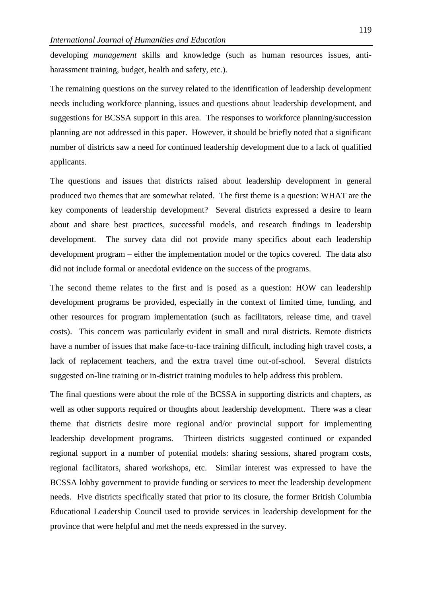developing *management* skills and knowledge (such as human resources issues, antiharassment training, budget, health and safety, etc.).

The remaining questions on the survey related to the identification of leadership development needs including workforce planning, issues and questions about leadership development, and suggestions for BCSSA support in this area. The responses to workforce planning/succession planning are not addressed in this paper. However, it should be briefly noted that a significant number of districts saw a need for continued leadership development due to a lack of qualified applicants.

The questions and issues that districts raised about leadership development in general produced two themes that are somewhat related. The first theme is a question: WHAT are the key components of leadership development? Several districts expressed a desire to learn about and share best practices, successful models, and research findings in leadership development. The survey data did not provide many specifics about each leadership development program – either the implementation model or the topics covered. The data also did not include formal or anecdotal evidence on the success of the programs.

The second theme relates to the first and is posed as a question: HOW can leadership development programs be provided, especially in the context of limited time, funding, and other resources for program implementation (such as facilitators, release time, and travel costs). This concern was particularly evident in small and rural districts. Remote districts have a number of issues that make face-to-face training difficult, including high travel costs, a lack of replacement teachers, and the extra travel time out-of-school. Several districts suggested on-line training or in-district training modules to help address this problem.

The final questions were about the role of the BCSSA in supporting districts and chapters, as well as other supports required or thoughts about leadership development. There was a clear theme that districts desire more regional and/or provincial support for implementing leadership development programs. Thirteen districts suggested continued or expanded regional support in a number of potential models: sharing sessions, shared program costs, regional facilitators, shared workshops, etc. Similar interest was expressed to have the BCSSA lobby government to provide funding or services to meet the leadership development needs. Five districts specifically stated that prior to its closure, the former British Columbia Educational Leadership Council used to provide services in leadership development for the province that were helpful and met the needs expressed in the survey.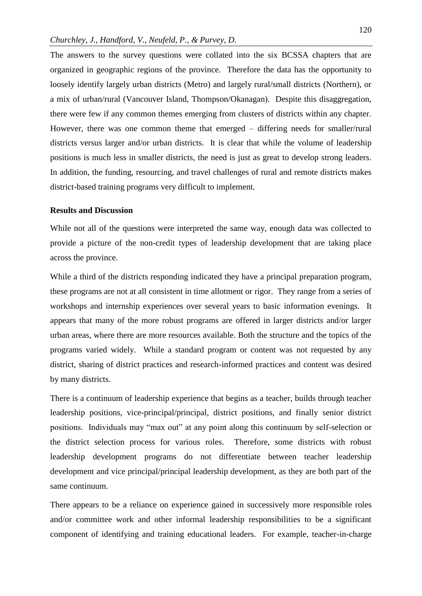The answers to the survey questions were collated into the six BCSSA chapters that are organized in geographic regions of the province. Therefore the data has the opportunity to loosely identify largely urban districts (Metro) and largely rural/small districts (Northern), or a mix of urban/rural (Vancouver Island, Thompson/Okanagan). Despite this disaggregation, there were few if any common themes emerging from clusters of districts within any chapter. However, there was one common theme that emerged – differing needs for smaller/rural districts versus larger and/or urban districts. It is clear that while the volume of leadership positions is much less in smaller districts, the need is just as great to develop strong leaders. In addition, the funding, resourcing, and travel challenges of rural and remote districts makes district-based training programs very difficult to implement.

#### **Results and Discussion**

While not all of the questions were interpreted the same way, enough data was collected to provide a picture of the non-credit types of leadership development that are taking place across the province.

While a third of the districts responding indicated they have a principal preparation program, these programs are not at all consistent in time allotment or rigor. They range from a series of workshops and internship experiences over several years to basic information evenings. It appears that many of the more robust programs are offered in larger districts and/or larger urban areas, where there are more resources available. Both the structure and the topics of the programs varied widely. While a standard program or content was not requested by any district, sharing of district practices and research-informed practices and content was desired by many districts.

There is a continuum of leadership experience that begins as a teacher, builds through teacher leadership positions, vice-principal/principal, district positions, and finally senior district positions. Individuals may "max out" at any point along this continuum by self-selection or the district selection process for various roles. Therefore, some districts with robust leadership development programs do not differentiate between teacher leadership development and vice principal/principal leadership development, as they are both part of the same continuum.

There appears to be a reliance on experience gained in successively more responsible roles and/or committee work and other informal leadership responsibilities to be a significant component of identifying and training educational leaders. For example, teacher-in-charge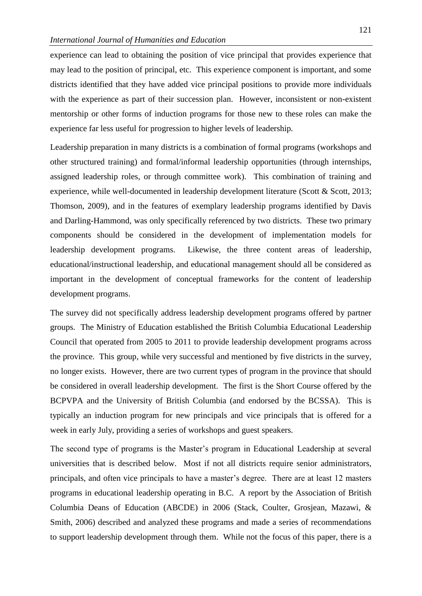experience can lead to obtaining the position of vice principal that provides experience that may lead to the position of principal, etc. This experience component is important, and some districts identified that they have added vice principal positions to provide more individuals with the experience as part of their succession plan. However, inconsistent or non-existent mentorship or other forms of induction programs for those new to these roles can make the experience far less useful for progression to higher levels of leadership.

Leadership preparation in many districts is a combination of formal programs (workshops and other structured training) and formal/informal leadership opportunities (through internships, assigned leadership roles, or through committee work). This combination of training and experience, while well-documented in leadership development literature (Scott & Scott, 2013; Thomson, 2009), and in the features of exemplary leadership programs identified by Davis and Darling-Hammond, was only specifically referenced by two districts. These two primary components should be considered in the development of implementation models for leadership development programs. Likewise, the three content areas of leadership, educational/instructional leadership, and educational management should all be considered as important in the development of conceptual frameworks for the content of leadership development programs.

The survey did not specifically address leadership development programs offered by partner groups. The Ministry of Education established the British Columbia Educational Leadership Council that operated from 2005 to 2011 to provide leadership development programs across the province. This group, while very successful and mentioned by five districts in the survey, no longer exists. However, there are two current types of program in the province that should be considered in overall leadership development. The first is the Short Course offered by the BCPVPA and the University of British Columbia (and endorsed by the BCSSA). This is typically an induction program for new principals and vice principals that is offered for a week in early July, providing a series of workshops and guest speakers.

The second type of programs is the Master's program in Educational Leadership at several universities that is described below. Most if not all districts require senior administrators, principals, and often vice principals to have a master's degree. There are at least 12 masters programs in educational leadership operating in B.C. A report by the Association of British Columbia Deans of Education (ABCDE) in 2006 (Stack, Coulter, Grosjean, Mazawi, & Smith, 2006) described and analyzed these programs and made a series of recommendations to support leadership development through them. While not the focus of this paper, there is a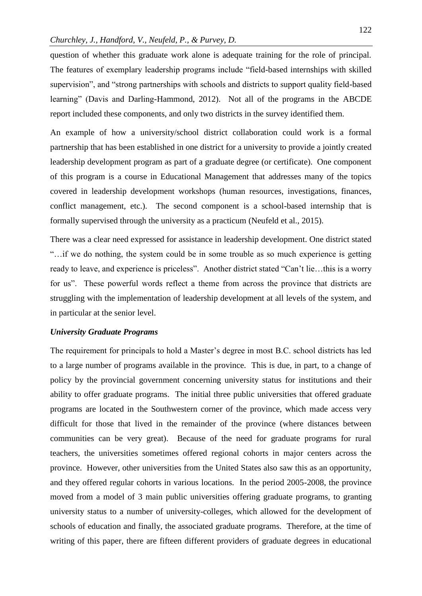question of whether this graduate work alone is adequate training for the role of principal. The features of exemplary leadership programs include "field-based internships with skilled supervision", and "strong partnerships with schools and districts to support quality field-based learning" (Davis and Darling-Hammond, 2012). Not all of the programs in the ABCDE report included these components, and only two districts in the survey identified them.

An example of how a university/school district collaboration could work is a formal partnership that has been established in one district for a university to provide a jointly created leadership development program as part of a graduate degree (or certificate). One component of this program is a course in Educational Management that addresses many of the topics covered in leadership development workshops (human resources, investigations, finances, conflict management, etc.). The second component is a school-based internship that is formally supervised through the university as a practicum (Neufeld et al., 2015).

There was a clear need expressed for assistance in leadership development. One district stated "…if we do nothing, the system could be in some trouble as so much experience is getting ready to leave, and experience is priceless". Another district stated "Can't lie…this is a worry for us". These powerful words reflect a theme from across the province that districts are struggling with the implementation of leadership development at all levels of the system, and in particular at the senior level.

#### *University Graduate Programs*

The requirement for principals to hold a Master's degree in most B.C. school districts has led to a large number of programs available in the province. This is due, in part, to a change of policy by the provincial government concerning university status for institutions and their ability to offer graduate programs. The initial three public universities that offered graduate programs are located in the Southwestern corner of the province, which made access very difficult for those that lived in the remainder of the province (where distances between communities can be very great). Because of the need for graduate programs for rural teachers, the universities sometimes offered regional cohorts in major centers across the province. However, other universities from the United States also saw this as an opportunity, and they offered regular cohorts in various locations. In the period 2005-2008, the province moved from a model of 3 main public universities offering graduate programs, to granting university status to a number of university-colleges, which allowed for the development of schools of education and finally, the associated graduate programs. Therefore, at the time of writing of this paper, there are fifteen different providers of graduate degrees in educational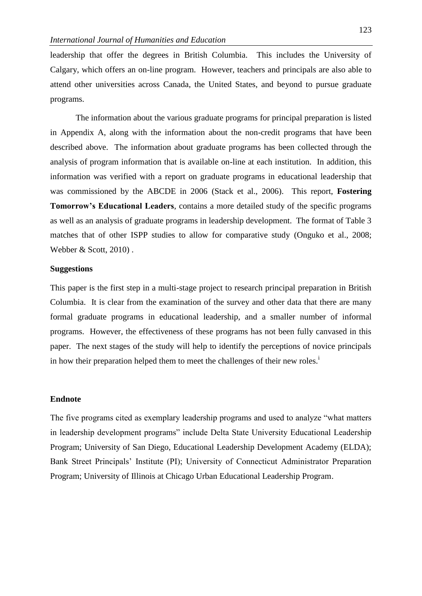leadership that offer the degrees in British Columbia. This includes the University of Calgary, which offers an on-line program. However, teachers and principals are also able to attend other universities across Canada, the United States, and beyond to pursue graduate programs.

The information about the various graduate programs for principal preparation is listed in Appendix A, along with the information about the non-credit programs that have been described above. The information about graduate programs has been collected through the analysis of program information that is available on-line at each institution. In addition, this information was verified with a report on graduate programs in educational leadership that was commissioned by the ABCDE in 2006 (Stack et al., 2006). This report, **Fostering Tomorrow's Educational Leaders**, contains a more detailed study of the specific programs as well as an analysis of graduate programs in leadership development. The format of Table 3 matches that of other ISPP studies to allow for comparative study (Onguko et al., 2008; Webber & Scott, 2010).

#### **Suggestions**

This paper is the first step in a multi-stage project to research principal preparation in British Columbia. It is clear from the examination of the survey and other data that there are many formal graduate programs in educational leadership, and a smaller number of informal programs. However, the effectiveness of these programs has not been fully canvased in this paper. The next stages of the study will help to identify the perceptions of novice principals in how their preparation helped them to meet the challenges of their new roles.<sup>i</sup>

#### **Endnote**

The five programs cited as exemplary leadership programs and used to analyze "what matters in leadership development programs" include Delta State University Educational Leadership Program; University of San Diego, Educational Leadership Development Academy (ELDA); Bank Street Principals' Institute (PI); University of Connecticut Administrator Preparation Program; University of Illinois at Chicago Urban Educational Leadership Program.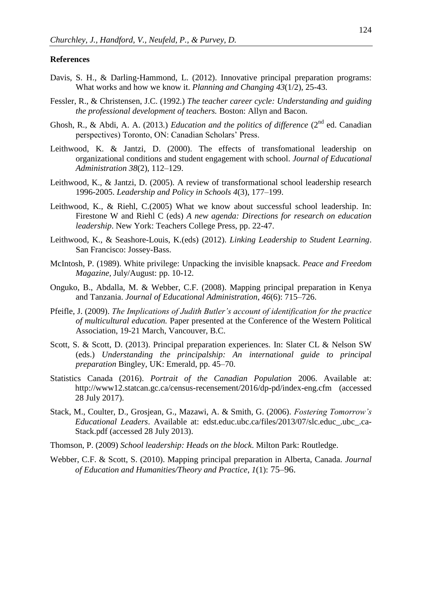#### **References**

- Davis, S. H., & Darling-Hammond, L. (2012). Innovative principal preparation programs: What works and how we know it. *Planning and Changing 43*(1/2), 25-43.
- Fessler, R., & Christensen, J.C. (1992.) *The teacher career cycle: Understanding and guiding the professional development of teachers.* Boston: Allyn and Bacon.
- Ghosh, R., & Abdi, A. A. (2013.) *Education and the politics of difference* (2<sup>nd</sup> ed. Canadian perspectives) Toronto, ON: Canadian Scholars' Press.
- Leithwood, K. & Jantzi, D. (2000). The effects of transfomational leadership on organizational conditions and student engagement with school. *Journal of Educational Administration 38*(2), 112–129.
- Leithwood, K., & Jantzi, D. (2005). A review of transformational school leadership research 1996-2005. *Leadership and Policy in Schools 4*(3), 177–199.
- Leithwood, K., & Riehl, C.(2005) What we know about successful school leadership. In: Firestone W and Riehl C (eds) *A new agenda: Directions for research on education leadership*. New York: Teachers College Press, pp. 22-47.
- Leithwood, K., & Seashore-Louis, K.(eds) (2012). *Linking Leadership to Student Learning*. San Francisco: Jossey-Bass.
- McIntosh, P. (1989). White privilege: Unpacking the invisible knapsack*. Peace and Freedom Magazine,* July/August: pp. 10-12.
- Onguko, B., Abdalla, M. & Webber, C.F. (2008). Mapping principal preparation in Kenya and Tanzania. *Journal of Educational Administration*, *46*(6): 715–726.
- Pfeifle, J. (2009). *The Implications of Judith Butler's account of identification for the practice of multicultural education.* Paper presented at the Conference of the Western Political Association, 19-21 March, Vancouver, B.C.
- Scott, S. & Scott, D. (2013). Principal preparation experiences. In: Slater CL & Nelson SW (eds.) *Understanding the principalship: An international guide to principal preparation* Bingley, UK: Emerald, pp. 45–70.
- Statistics Canada (2016). *Portrait of the Canadian Population* 2006. Available at: http://www12.statcan.gc.ca/census-recensement/2016/dp-pd/index-eng.cfm (accessed 28 July 2017).
- Stack, M., Coulter, D., Grosjean, G., Mazawi, A. & Smith, G. (2006). *Fostering Tomorrow's Educational Leaders*. Available at: edst.educ.ubc.ca/files/2013/07/slc.educ\_.ubc\_.ca-Stack.pdf (accessed 28 July 2013).
- Thomson, P. (2009) *School leadership: Heads on the block*. Milton Park: Routledge.
- Webber, C.F. & Scott, S. (2010). Mapping principal preparation in Alberta, Canada. *Journal of Education and Humanities/Theory and Practice*, *1*(1): 75–96.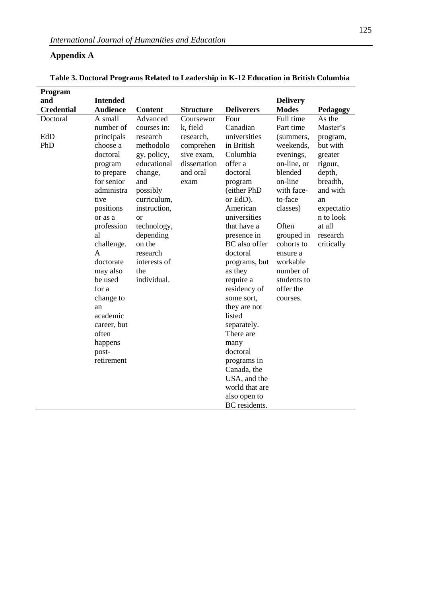## **Appendix A**

| Program           |                 |                |                  |                               |                 |            |
|-------------------|-----------------|----------------|------------------|-------------------------------|-----------------|------------|
| and               | <b>Intended</b> |                |                  |                               | <b>Delivery</b> |            |
| <b>Credential</b> | <b>Audience</b> | <b>Content</b> | <b>Structure</b> | <b>Deliverers</b>             | <b>Modes</b>    | Pedagogy   |
| Doctoral          | A small         | Advanced       | Coursewor        | Four                          | Full time       | As the     |
|                   | number of       | courses in:    | k, field         | Canadian                      | Part time       | Master's   |
| EdD               | principals      | research       | research,        | universities                  | (summers,       | program,   |
| PhD               | choose a        | methodolo      | comprehen        | in British                    | weekends,       | but with   |
|                   | doctoral        | gy, policy,    | sive exam,       | Columbia                      | evenings,       | greater    |
|                   | program         | educational    | dissertation     | offer a                       | on-line, or     | rigour,    |
|                   | to prepare      | change,        | and oral         | doctoral                      | blended         | depth,     |
|                   | for senior      | and            | exam             | program                       | on-line         | breadth,   |
|                   | administra      | possibly       |                  | (either PhD                   | with face-      | and with   |
|                   | tive            | curriculum,    |                  | or EdD).                      | to-face         | an         |
|                   | positions       | instruction,   |                  | American                      | classes)        | expectatio |
|                   | or as a         | <b>or</b>      |                  | universities                  |                 | n to look  |
|                   | profession      | technology,    |                  | that have a                   | Often           | at all     |
|                   | al              | depending      |                  | presence in                   | grouped in      | research   |
|                   | challenge.      | on the         |                  | BC also offer                 | cohorts to      | critically |
|                   | $\mathbf{A}$    | research       |                  | doctoral                      | ensure a        |            |
|                   | doctorate       | interests of   |                  | programs, but                 | workable        |            |
|                   | may also        | the            |                  | as they                       | number of       |            |
|                   | be used         | individual.    |                  | require a                     | students to     |            |
|                   | for a           |                |                  | residency of                  | offer the       |            |
|                   | change to       |                |                  | some sort,                    | courses.        |            |
|                   | an              |                |                  | they are not                  |                 |            |
|                   | academic        |                |                  | listed                        |                 |            |
|                   | career, but     |                |                  | separately.                   |                 |            |
|                   | often           |                |                  | There are                     |                 |            |
|                   | happens         |                |                  | many                          |                 |            |
|                   | post-           |                |                  | doctoral                      |                 |            |
|                   | retirement      |                |                  | programs in                   |                 |            |
|                   |                 |                |                  | Canada, the                   |                 |            |
|                   |                 |                |                  | USA, and the                  |                 |            |
|                   |                 |                |                  | world that are                |                 |            |
|                   |                 |                |                  | also open to<br>BC residents. |                 |            |
|                   |                 |                |                  |                               |                 |            |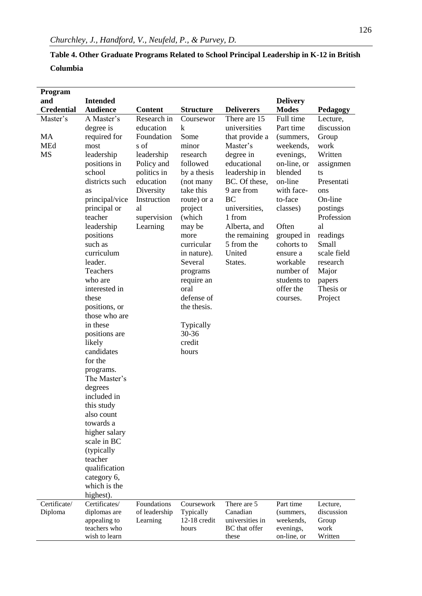## **Table 4. Other Graduate Programs Related to School Principal Leadership in K-12 in British Columbia**

| Program           |                              |                           |                             |                             |                        |                      |
|-------------------|------------------------------|---------------------------|-----------------------------|-----------------------------|------------------------|----------------------|
| and               | <b>Intended</b>              |                           |                             |                             | <b>Delivery</b>        |                      |
| <b>Credential</b> | <b>Audience</b>              | <b>Content</b>            | <b>Structure</b>            | <b>Deliverers</b>           | <b>Modes</b>           | Pedagogy             |
| Master's          | A Master's                   | Research in               | Coursewor                   | There are 15                | Full time              | Lecture,             |
|                   | degree is                    | education                 | k                           | universities                | Part time              | discussion           |
| MA<br><b>MEd</b>  | required for                 | Foundation<br>s of        | Some<br>minor               | that provide a<br>Master's  | (summers,<br>weekends, | Group<br>work        |
| <b>MS</b>         | most<br>leadership           | leadership                | research                    | degree in                   | evenings,              | Written              |
|                   | positions in                 | Policy and                | followed                    | educational                 | on-line, or            | assignmen            |
|                   | school                       | politics in               | by a thesis                 | leadership in               | blended                | ts                   |
|                   | districts such               | education                 | (not many                   | BC. Of these,               | on-line                | Presentati           |
|                   | as                           | Diversity                 | take this                   | 9 are from                  | with face-             | ons                  |
|                   | principal/vice               | Instruction               | route) or a                 | BC                          | to-face                | On-line              |
|                   | principal or                 | al                        | project                     | universities,               | classes)               | postings             |
|                   | teacher                      | supervision               | (which                      | 1 from                      |                        | Profession           |
|                   | leadership                   | Learning                  | may be                      | Alberta, and                | Often                  | al                   |
|                   | positions                    |                           | more                        | the remaining               | grouped in             | readings             |
|                   | such as<br>curriculum        |                           | curricular                  | 5 from the<br>United        | cohorts to             | Small<br>scale field |
|                   | leader.                      |                           | in nature).<br>Several      | States.                     | ensure a<br>workable   | research             |
|                   | Teachers                     |                           | programs                    |                             | number of              | Major                |
|                   | who are                      |                           | require an                  |                             | students to            | papers               |
|                   | interested in                |                           | oral                        |                             | offer the              | Thesis or            |
|                   | these                        |                           | defense of                  |                             | courses.               | Project              |
|                   | positions, or                |                           | the thesis.                 |                             |                        |                      |
|                   | those who are                |                           |                             |                             |                        |                      |
|                   | in these                     |                           | Typically                   |                             |                        |                      |
|                   | positions are<br>likely      |                           | 30-36<br>credit             |                             |                        |                      |
|                   | candidates                   |                           | hours                       |                             |                        |                      |
|                   | for the                      |                           |                             |                             |                        |                      |
|                   | programs.                    |                           |                             |                             |                        |                      |
|                   | The Master's                 |                           |                             |                             |                        |                      |
|                   | degrees                      |                           |                             |                             |                        |                      |
|                   | included in                  |                           |                             |                             |                        |                      |
|                   | this study                   |                           |                             |                             |                        |                      |
|                   | also count                   |                           |                             |                             |                        |                      |
|                   | towards a                    |                           |                             |                             |                        |                      |
|                   | higher salary<br>scale in BC |                           |                             |                             |                        |                      |
|                   | (typically                   |                           |                             |                             |                        |                      |
|                   | teacher                      |                           |                             |                             |                        |                      |
|                   | qualification                |                           |                             |                             |                        |                      |
|                   | category 6,                  |                           |                             |                             |                        |                      |
|                   | which is the                 |                           |                             |                             |                        |                      |
|                   | highest).                    |                           |                             |                             |                        |                      |
| Certificate/      | Certificates/                | Foundations               | Coursework                  | There are 5                 | Part time              | Lecture,             |
| Diploma           | diplomas are<br>appealing to | of leadership<br>Learning | Typically<br>$12-18$ credit | Canadian<br>universities in | (summers,<br>weekends, | discussion<br>Group  |
|                   | teachers who                 |                           | hours                       | BC that offer               | evenings,              | work                 |
|                   | wish to learn                |                           |                             | these                       | on-line, or            | Written              |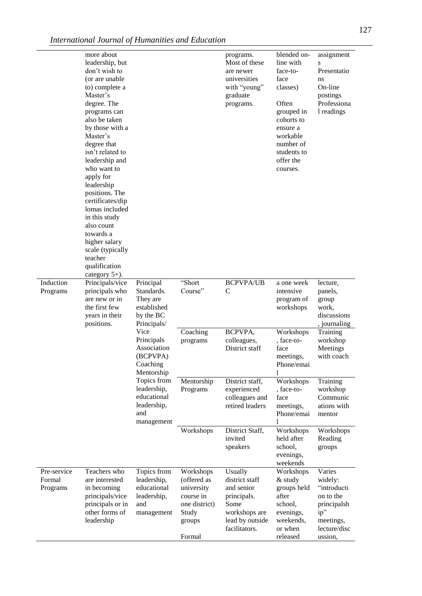|                                   | more about<br>leadership, but<br>don't wish to<br>(or are unable<br>to) complete a<br>Master's<br>degree. The<br>programs can<br>also be taken<br>by those with a<br>Master's<br>degree that<br>isn't related to<br>leadership and<br>who want to<br>apply for<br>leadership<br>positions. The<br>certificates/dip<br>lomas included<br>in this study<br>also count<br>towards a<br>higher salary<br>scale (typically<br>teacher<br>qualification<br>category 5+). |                                                                                |                                                                                                   | programs.<br>Most of these<br>are newer<br>universities<br>with "young"<br>graduate<br>programs.                    | blended on-<br>line with<br>face-to-<br>face<br>classes)<br>Often<br>grouped in<br>cohorts to<br>ensure a<br>workable<br>number of<br>students to<br>offer the<br>courses. | assignment<br>S<br>Presentatio<br>ns<br>On-line<br>postings<br>Professiona<br>1 readings                    |
|-----------------------------------|--------------------------------------------------------------------------------------------------------------------------------------------------------------------------------------------------------------------------------------------------------------------------------------------------------------------------------------------------------------------------------------------------------------------------------------------------------------------|--------------------------------------------------------------------------------|---------------------------------------------------------------------------------------------------|---------------------------------------------------------------------------------------------------------------------|----------------------------------------------------------------------------------------------------------------------------------------------------------------------------|-------------------------------------------------------------------------------------------------------------|
| Induction<br>Programs             | Principals/vice<br>principals who<br>are new or in<br>the first few<br>years in their<br>positions.                                                                                                                                                                                                                                                                                                                                                                | Principal<br>Standards.<br>They are<br>established<br>by the BC<br>Principals/ | "Short<br>Course"                                                                                 | <b>BCPVPA/UB</b><br>$\mathcal{C}$                                                                                   | a one week<br>intensive<br>program of<br>workshops                                                                                                                         | lecture,<br>panels,<br>group<br>work,<br>discussions<br>, journaling                                        |
|                                   |                                                                                                                                                                                                                                                                                                                                                                                                                                                                    | Vice<br>Principals<br>Association<br>(BCPVPA)<br>Coaching<br>Mentorship        | Coaching<br>programs                                                                              | BCPVPA,<br>colleagues,<br>District staff                                                                            | Workshops<br>, face-to-<br>face<br>meetings,<br>Phone/emai<br>$\mathbf{1}$                                                                                                 | Training<br>workshop<br>Meetings<br>with coach                                                              |
|                                   |                                                                                                                                                                                                                                                                                                                                                                                                                                                                    | Topics from<br>leadership,<br>educational<br>leadership,<br>and<br>management  | Mentorship<br>Programs                                                                            | District staff,<br>experienced<br>colleagues and<br>retired leaders                                                 | Workshops<br>, face-to-<br>face<br>meetings,<br>Phone/emai<br>1                                                                                                            | Training<br>workshop<br>Communic<br>ations with<br>mentor                                                   |
|                                   |                                                                                                                                                                                                                                                                                                                                                                                                                                                                    |                                                                                | Workshops                                                                                         | District Staff,<br>invited<br>speakers                                                                              | Workshops<br>held after<br>school,<br>evenings,<br>weekends                                                                                                                | Workshops<br>Reading<br>groups                                                                              |
| Pre-service<br>Formal<br>Programs | Teachers who<br>are interested<br>in becoming<br>principals/vice<br>principals or in<br>other forms of<br>leadership                                                                                                                                                                                                                                                                                                                                               | Topics from<br>leadership,<br>educational<br>leadership,<br>and<br>management  | Workshops<br>(offered as<br>university<br>course in<br>one district)<br>Study<br>groups<br>Formal | Usually<br>district staff<br>and senior<br>principals.<br>Some<br>workshops are<br>lead by outside<br>facilitators. | Workshops<br>& study<br>groups held<br>after<br>school,<br>evenings,<br>weekends,<br>or when<br>released                                                                   | Varies<br>widely:<br>"introducti<br>on to the<br>principalsh<br>ip"<br>meetings,<br>lecture/disc<br>ussion, |